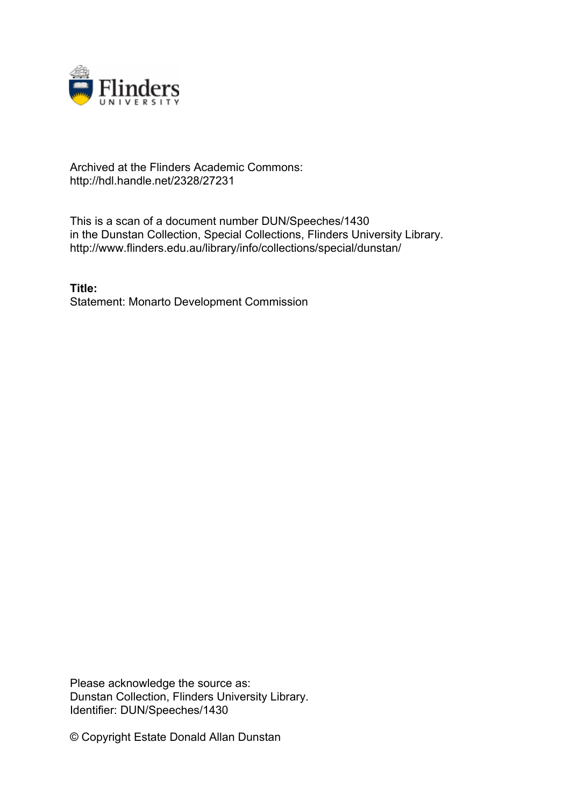

## Archived at the Flinders Academic Commons: http://hdl.handle.net/2328/27231

This is a scan of a document number DUN/Speeches/1430 in the Dunstan Collection, Special Collections, Flinders University Library. http://www.flinders.edu.au/library/info/collections/special/dunstan/

**Title:** Statement: Monarto Development Commission

Please acknowledge the source as: Dunstan Collection, Flinders University Library. Identifier: DUN/Speeches/1430

© Copyright Estate Donald Allan Dunstan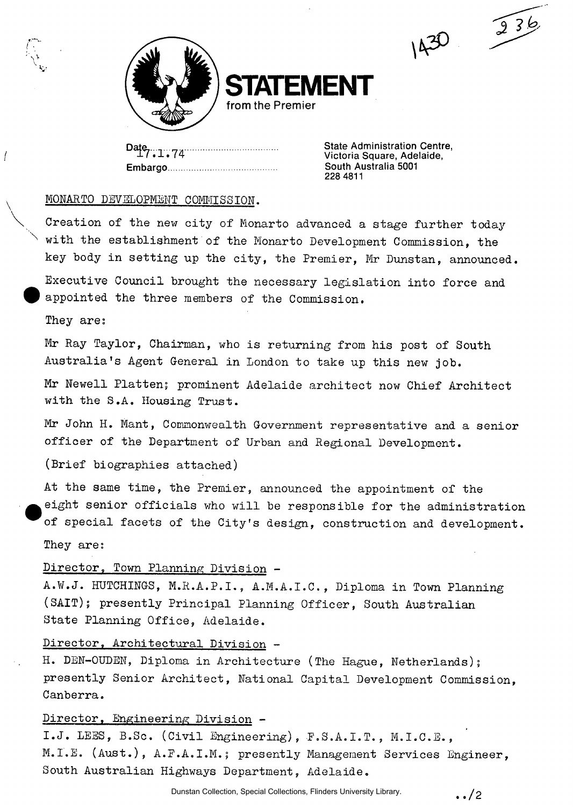

**RENT from the Premier** 

Date 7.1.74 **Embargo**  **State Administration Centre, Victoria Square, Adelaide, South Australia 5001 228 4811** 

1430

 $236$ 

## MONARTO DEVELOPMENT COMMISSION.

Creation of the new city of Monarto advanced a stage further today with the establishment of the Monarto Development Commission, the key body in setting up the city, the Premier, Mr Dunstan, announced. Executive Council brought the necessary legislation into force and appointed the three members of the Commission.

They ares

 $\prime$ 

Mr Ray Taylor, Chairman, who is returning from his post of South Australia's Agent General in London to take up this new job.

Mr Newell Platten; prominent Adelaide architect now Chief Architect with the S.A. Housing Trust.

Mr John H. Mant, Commonwealth Government representative and a senior officer of the Department of Urban and Regional Development.

(Brief biographies attached)

At the same time, the Premier, announced the appointment of the eight senior officials who will be responsible for the administration of special facets of the City's design, construction and development. They are;

Director, Town Planning Division -

A.W.J. HUTCHINGS, M.R.A.P.I., A.M.A.I.C., Diploma in Town Planning (SAIT); presently Principal Planning Officer, South Australian State Planning Office, Adelaide.

## Director, Architectural Division -

H. DEN-OUDEN, Diploma in Architecture (The Hague, Netherlands); presently Senior Architect, National Capital Development Commission, Canberra.

## Director, Engineering Division -

I.J. LEES, B.Sc. (Civil Engineering), F.S.A.I.T., M.I.C.E., M.I.E. (Aust.), A.F.A.I.M.; presently Management Services Engineer, South Australian Highways Department, Adelaide.

 $\, . \, / 2$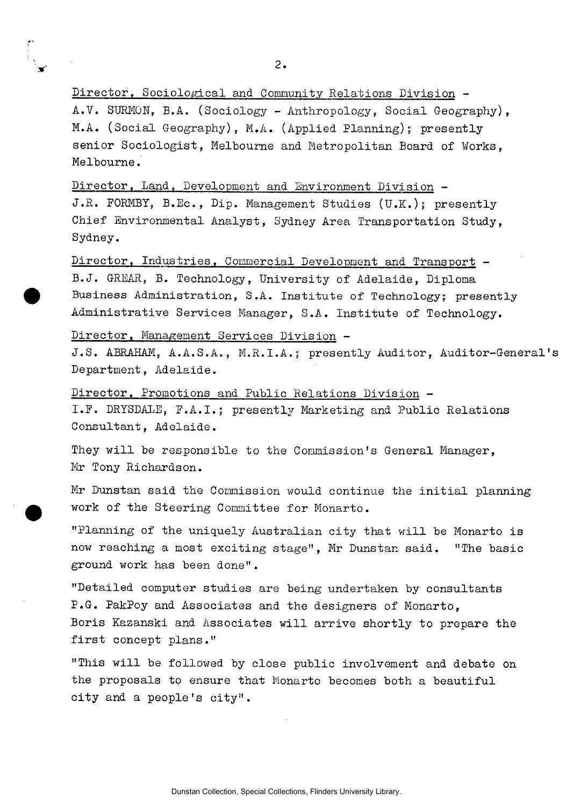$2.$ 

Director, Sociological and Community Relations Division - A. V. SURMON, B.A. (Sociology - Anthropology, Social Geography), M.A. (Social Geography), M.A. (Applied Planning); presently senior Sociologist, Melbourne and Metropolitan Board of Works, Melbourne.

Director, Land, Development and Environment Division - J.R. FORMBY, B.Ec., Dip. Management Studies (U.K.); presently Chief Environmental Analyst, Sydney Area Transportation Study, Sydney.

Director, Industries. Commercial Development and Transport - B.J. GREAR, B. Technology, University of Adelaide, Diploma Business Administration, S.A. Institute of Technology; presently Administrative Services Manager, S.A. Institute of Technology.

Director, Management Services Division -

J.S. ABRAHAM, A.A.S.A., M.R.I.A.; presently Auditor, Auditor-General' Department, Adelaide.

Director. Promotions and Public Relations Division - I.E. DRYSDA1E, E.A.I.; presently Marketing and Public Relations Consultant, Adelaide.

They will be responsible to the Commission's General Manager, Mr Tony Richardson.

Mr Dunstan said the Commission would continue the initial planning work of the Steering Committee for Monarto.

"Planning of the uniquely Australian city that will be Monarto is now reaching a most exciting stage", Mr Dunstan said. "The basic ground work has been done".

"Detailed computer studies are being undertaken by consultants P.G. PakPoy and Associates and the designers of Monarto, Boris Kazanski and Associates will arrive shortly to prepare the first concept plans."

"This will be followed by close public involvement and debate on the proposals to ensure that Monarto becomes both a beautiful city and a people's city".